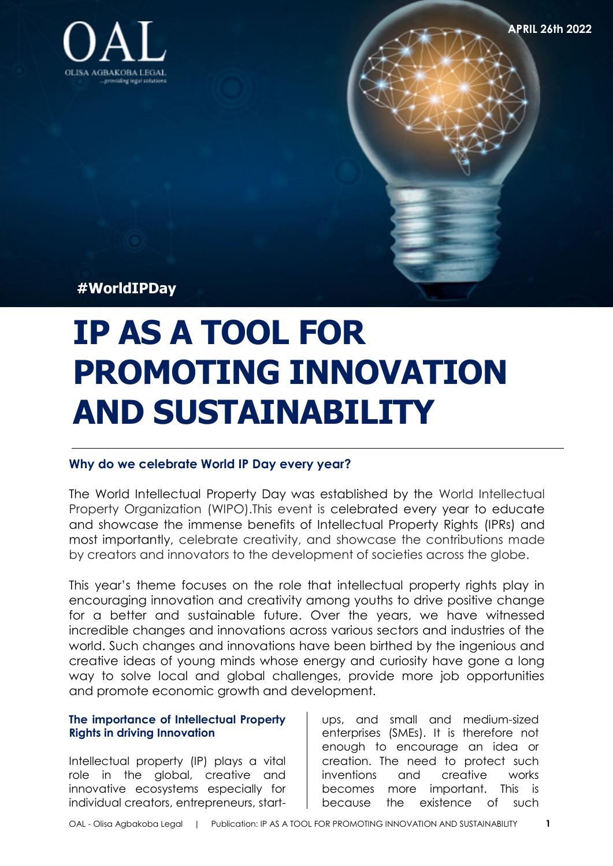

**APRIL 26th 2022** 

**#WorldIPDay** 

# **IP AS A TOOL FOR PROMOTING INNOVATION AND SUSTAINABILITY**

# **Why do we celebrate World IP Day every year?**

The World Intellectual Property Day was established by the World Intellectual Property Organization (WIPO).This event is celebrated every year to educate and showcase the immense benefits of Intellectual Property Rights (IPRs) and most importantly, celebrate creativity, and showcase the contributions made by creators and innovators to the development of societies across the globe.

This year's theme focuses on the role that intellectual property rights play in encouraging innovation and creativity among youths to drive positive change for a better and sustainable future. Over the years, we have witnessed incredible changes and innovations across various sectors and industries of the world. Such changes and innovations have been birthed by the ingenious and creative ideas of young minds whose energy and curiosity have gone a long way to solve local and global challenges, provide more job opportunities and promote economic growth and development.

# **The importance of Intellectual Property Rights in driving Innovation**

Intellectual property (IP) plays a vital role in the global, creative and innovative ecosystems especially for individual creators, entrepreneurs, start-

ups, and small and medium-sized enterprises (SMEs). It is therefore not enough to encourage an idea or creation. The need to protect such inventions and creative works becomes more important. This is because the existence of such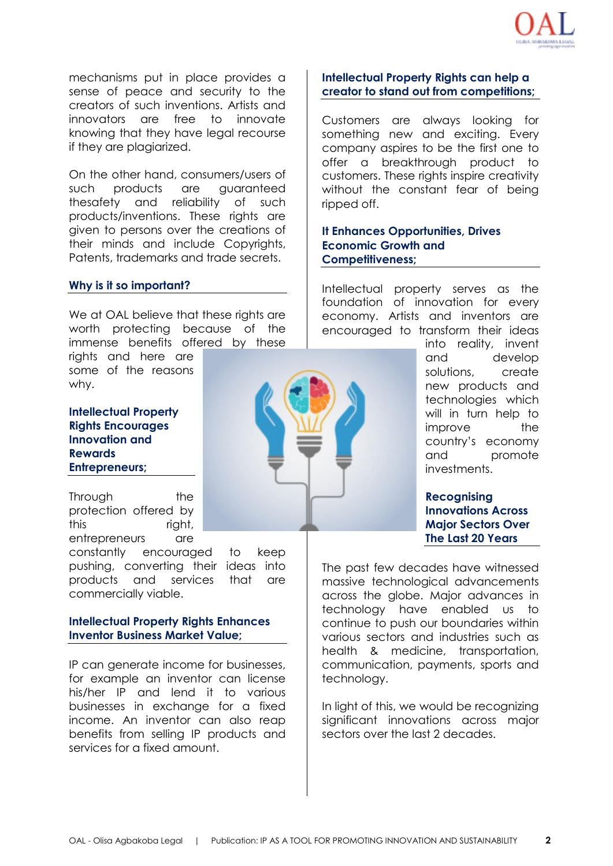

mechanisms put in place provides a sense of peace and security to the creators of such inventions. Artists and innovators are free to innovate knowing that they have legal recourse if they are plagiarized.

On the other hand, consumers/users of such products are guaranteed thesafety and reliability of such products/inventions. These rights are given to persons over the creations of their minds and include Copyrights, Patents, trademarks and trade secrets.

## **Why is it so important?**

We at OAL believe that these rights are worth protecting because of the immense benefits offered by these

rights and here are some of the reasons why.

**Intellectual Property Rights Encourages Innovation and Rewards Entrepreneurs;** 

Through the protection offered by this right, entrepreneurs are

constantly encouraged to keep pushing, converting their ideas into products and services that are commercially viable.

# **Intellectual Property Rights Enhances Inventor Business Market Value;**

IP can generate income for businesses, for example an inventor can license his/her IP and lend it to various businesses in exchange for a fixed income. An inventor can also reap benefits from selling IP products and services for a fixed amount.

# **Intellectual Property Rights can help a creator to stand out from competitions;**

Customers are always looking for something new and exciting. Every company aspires to be the first one to offer a breakthrough product to customers. These rights inspire creativity without the constant fear of being ripped off.

**It Enhances Opportunities, Drives Economic Growth and Competitiveness;**

Intellectual property serves as the foundation of innovation for every economy. Artists and inventors are encouraged to transform their ideas

> into reality, invent and develop solutions, create new products and technologies which will in turn help to improve the country's economy and promote investments.

**Recognising Innovations Across Major Sectors Over The Last 20 Years** 

The past few decades have witnessed massive technological advancements across the globe. Major advances in technology have enabled us to continue to push our boundaries within various sectors and industries such as health & medicine, transportation, communication, payments, sports and technology.

In light of this, we would be recognizing significant innovations across major sectors over the last 2 decades.